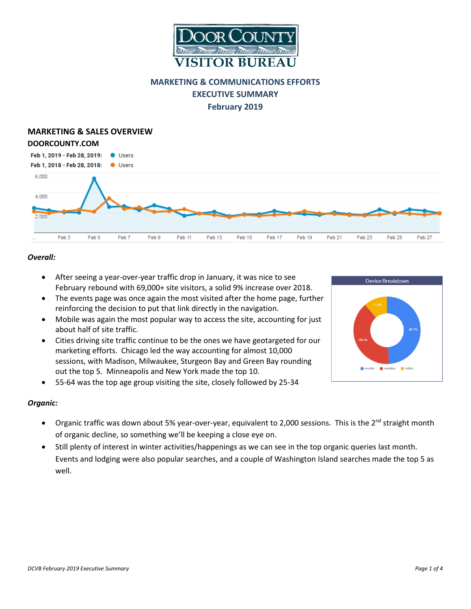

# **MARKETING & COMMUNICATIONS EFFORTS EXECUTIVE SUMMARY February 2019**

#### **MARKETING & SALES OVERVIEW DOORCOUNTY.COM**  Feb 1, 2019 - Feb 28, 2019: **O** Users Feb 1, 2018 - Feb 28, 2018: **Users** 6,000 4.000  $2.000$ Feb 3 Feb 5 Feb 7 Feb 9 Feb 11 Feb 13 Feb 15 Feb 17 Feb 19 Feb 21 Feb 23 Feb 25 Feb 27

# *Overall:*

- After seeing a year-over-year traffic drop in January, it was nice to see February rebound with 69,000+ site visitors, a solid 9% increase over 2018.
- The events page was once again the most visited after the home page, further reinforcing the decision to put that link directly in the navigation.
- Mobile was again the most popular way to access the site, accounting for just about half of site traffic.
- Cities driving site traffic continue to be the ones we have geotargeted for our marketing efforts. Chicago led the way accounting for almost 10,000 sessions, with Madison, Milwaukee, Sturgeon Bay and Green Bay rounding out the top 5. Minneapolis and New York made the top 10.
- 55-64 was the top age group visiting the site, closely followed by 25-34

# *Organic:*

- Organic traffic was down about 5% year-over-year, equivalent to 2,000 sessions. This is the 2<sup>nd</sup> straight month of organic decline, so something we'll be keeping a close eye on.
- Still plenty of interest in winter activities/happenings as we can see in the top organic queries last month. Events and lodging were also popular searches, and a couple of Washington Island searches made the top 5 as well.



Device Breakdown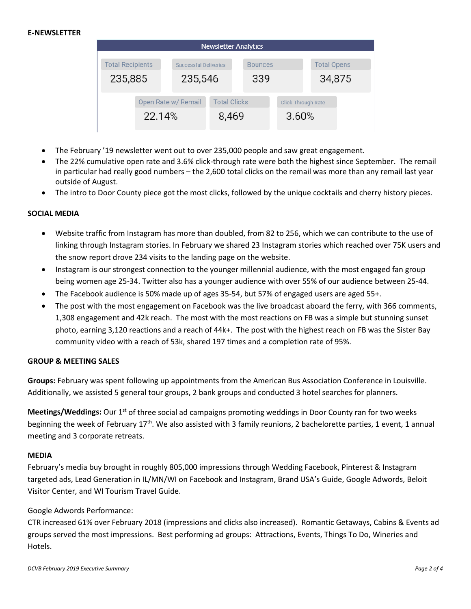### **E-NEWSLETTER**

| <b>Newsletter Analytics</b> |        |                              |                     |                |     |                           |        |  |
|-----------------------------|--------|------------------------------|---------------------|----------------|-----|---------------------------|--------|--|
| <b>Total Recipients</b>     |        | <b>Successful Deliveries</b> |                     | <b>Bounces</b> |     | <b>Total Opens</b>        |        |  |
| 235,885                     |        | 235,546                      |                     |                | 339 |                           | 34,875 |  |
| Open Rate w/ Remail         |        |                              | <b>Total Clicks</b> |                |     | <b>Click-Through Rate</b> |        |  |
|                             | 22.14% |                              | 8,469               |                |     | 3.60%                     |        |  |

- The February '19 newsletter went out to over 235,000 people and saw great engagement.
- The 22% cumulative open rate and 3.6% click-through rate were both the highest since September. The remail in particular had really good numbers – the 2,600 total clicks on the remail was more than any remail last year outside of August.
- The intro to Door County piece got the most clicks, followed by the unique cocktails and cherry history pieces.

#### **SOCIAL MEDIA**

- Website traffic from Instagram has more than doubled, from 82 to 256, which we can contribute to the use of linking through Instagram stories. In February we shared 23 Instagram stories which reached over 75K users and the snow report drove 234 visits to the landing page on the website.
- Instagram is our strongest connection to the younger millennial audience, with the most engaged fan group being women age 25-34. Twitter also has a younger audience with over 55% of our audience between 25-44.
- The Facebook audience is 50% made up of ages 35-54, but 57% of engaged users are aged 55+.
- The post with the most engagement on Facebook was the live broadcast aboard the ferry, with 366 comments, 1,308 engagement and 42k reach. The most with the most reactions on FB was a simple but stunning sunset photo, earning 3,120 reactions and a reach of 44k+. The post with the highest reach on FB was the Sister Bay community video with a reach of 53k, shared 197 times and a completion rate of 95%.

#### **GROUP & MEETING SALES**

**Groups:** February was spent following up appointments from the American Bus Association Conference in Louisville. Additionally, we assisted 5 general tour groups, 2 bank groups and conducted 3 hotel searches for planners.

Meetings/Weddings: Our 1<sup>st</sup> of three social ad campaigns promoting weddings in Door County ran for two weeks beginning the week of February 17<sup>th</sup>. We also assisted with 3 family reunions, 2 bachelorette parties, 1 event, 1 annual meeting and 3 corporate retreats.

#### **MEDIA**

February's media buy brought in roughly 805,000 impressions through Wedding Facebook, Pinterest & Instagram targeted ads, Lead Generation in IL/MN/WI on Facebook and Instagram, Brand USA's Guide, Google Adwords, Beloit Visitor Center, and WI Tourism Travel Guide.

#### Google Adwords Performance:

CTR increased 61% over February 2018 (impressions and clicks also increased). Romantic Getaways, Cabins & Events ad groups served the most impressions. Best performing ad groups: Attractions, Events, Things To Do, Wineries and Hotels.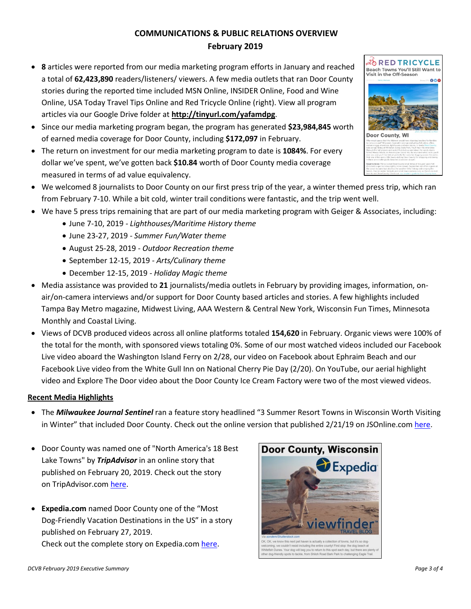# **COMMUNICATIONS & PUBLIC RELATIONS OVERVIEW February 2019**

- **8** articles were reported from our media marketing program efforts in January and reached a total of **62,423,890** readers/listeners/ viewers. A few media outlets that ran Door County stories during the reported time included MSN Online, INSIDER Online, Food and Wine Online, USA Today Travel Tips Online and Red Tricycle Online (right). View all program articles via our Google Drive folder at **<http://tinyurl.com/yafamdpg>**.
- Since our media marketing program began, the program has generated **\$23,984,845** worth of earned media coverage for Door County, including **\$172,097** in February.
- The return on investment for our media marketing program to date is **1084%**. For every dollar we've spent, we've gotten back **\$10.84** worth of Door County media coverage measured in terms of ad value equivalency.
- We welcomed 8 journalists to Door County on our first press trip of the year, a winter themed press trip, which ran from February 7-10. While a bit cold, winter trail conditions were fantastic, and the trip went well.
- We have 5 press trips remaining that are part of our media marketing program with Geiger & Associates, including:
	- June 7-10, 2019 *- Lighthouses/Maritime History theme*
	- June 23-27, 2019 *- Summer Fun/Water theme*
	- August 25-28, 2019 *Outdoor Recreation theme*
	- September 12-15, 2019 *- Arts/Culinary theme*
	- December 12-15, 2019 *- Holiday Magic theme*
- Media assistance was provided to **21** journalists/media outlets in February by providing images, information, onair/on-camera interviews and/or support for Door County based articles and stories. A few highlights included Tampa Bay Metro magazine, Midwest Living, AAA Western & Central New York, Wisconsin Fun Times, Minnesota Monthly and Coastal Living.
- Views of DCVB produced videos across all online platforms totaled **154,620** in February. Organic views were 100% of the total for the month, with sponsored views totaling 0%. Some of our most watched videos included our Facebook Live video aboard the Washington Island Ferry on 2/28, our video on Facebook about Ephraim Beach and our Facebook Live video from the White Gull Inn on National Cherry Pie Day (2/20). On YouTube, our aerial highlight video and Explore The Door video about the Door County Ice Cream Factory were two of the most viewed videos.

# **Recent Media Highlights**

- The *Milwaukee Journal Sentinel* ran a feature story headlined "3 Summer Resort Towns in Wisconsin Worth Visiting in Winter" that included Door County. Check out the online version that published 2/21/19 on JSOnline.com [here.](https://www.jsonline.com/story/travel/wisconsin/2019/02/21/summer-resort-towns-wisconsin-visit-winter-door-county-dells-minocqua/2919519002/)
- Door County was named one of "North America's 18 Best Lake Towns" by *TripAdvisor* in an online story that published on February 20, 2019. Check out the story on TripAdvisor.co[m here.](https://www.tripadvisor.com/VacationRentalsBlog/2019/02/20/best-lake-towns-north-america-beautiful/)
- **Expedia.com** named Door County one of the "Most Dog-Friendly Vacation Destinations in the US" in a story published on February 27, 2019. Check out the complete story on Expedia.co[m here.](https://viewfinder.expedia.com/features/most-dog-friendly-vacation-destinations-in-the-us/#DoorCounty)